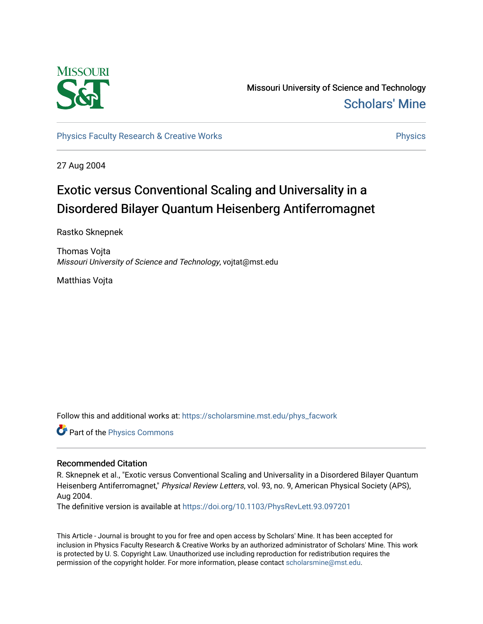

Missouri University of Science and Technology [Scholars' Mine](https://scholarsmine.mst.edu/) 

[Physics Faculty Research & Creative Works](https://scholarsmine.mst.edu/phys_facwork) **Physics** [Physics](https://scholarsmine.mst.edu/phys) Physics

27 Aug 2004

## Exotic versus Conventional Scaling and Universality in a Disordered Bilayer Quantum Heisenberg Antiferromagnet

Rastko Sknepnek

Thomas Vojta Missouri University of Science and Technology, vojtat@mst.edu

Matthias Vojta

Follow this and additional works at: [https://scholarsmine.mst.edu/phys\\_facwork](https://scholarsmine.mst.edu/phys_facwork?utm_source=scholarsmine.mst.edu%2Fphys_facwork%2F349&utm_medium=PDF&utm_campaign=PDFCoverPages) 

Part of the [Physics Commons](http://network.bepress.com/hgg/discipline/193?utm_source=scholarsmine.mst.edu%2Fphys_facwork%2F349&utm_medium=PDF&utm_campaign=PDFCoverPages)

## Recommended Citation

R. Sknepnek et al., "Exotic versus Conventional Scaling and Universality in a Disordered Bilayer Quantum Heisenberg Antiferromagnet," Physical Review Letters, vol. 93, no. 9, American Physical Society (APS), Aug 2004.

The definitive version is available at <https://doi.org/10.1103/PhysRevLett.93.097201>

This Article - Journal is brought to you for free and open access by Scholars' Mine. It has been accepted for inclusion in Physics Faculty Research & Creative Works by an authorized administrator of Scholars' Mine. This work is protected by U. S. Copyright Law. Unauthorized use including reproduction for redistribution requires the permission of the copyright holder. For more information, please contact [scholarsmine@mst.edu](mailto:scholarsmine@mst.edu).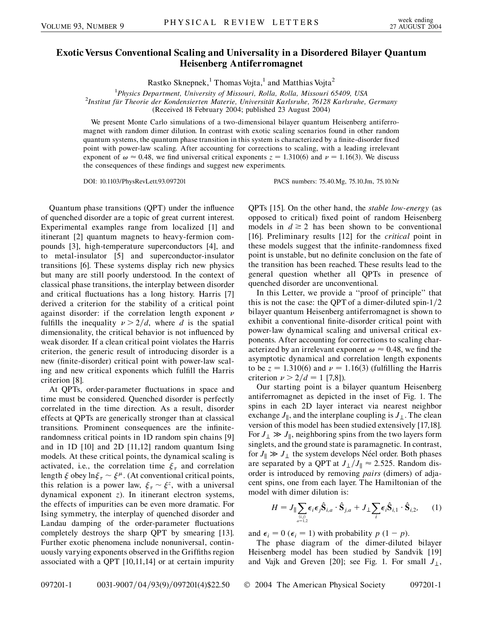## **Exotic Versus Conventional Scaling and Universality in a Disordered Bilayer Quantum Heisenberg Antiferromagnet**

Rastko Sknepnek,<sup>1</sup> Thomas Vojta,<sup>1</sup> and Matthias Vojta<sup>2</sup>

<sup>1</sup> *Physics Department, University of Missouri, Rolla, Rolla, Missouri 65409, USA*<br><sup>2</sup> Institut für Theorie der Kondensierten Materie, Universität Karlsruhe, 76128 Karlsruhe

*Institut fu¨r Theorie der Kondensierten Materie, Universita¨t Karlsruhe, 76128 Karlsruhe, Germany*

(Received 18 February 2004; published 23 August 2004)

We present Monte Carlo simulations of a two-dimensional bilayer quantum Heisenberg antiferromagnet with random dimer dilution. In contrast with exotic scaling scenarios found in other random quantum systems, the quantum phase transition in this system is characterized by a finite-disorder fixed point with power-law scaling. After accounting for corrections to scaling, with a leading irrelevant exponent of  $\omega \approx 0.48$ , we find universal critical exponents  $z = 1.310(6)$  and  $\nu = 1.16(3)$ . We discuss the consequences of these findings and suggest new experiments.

DOI: 10.1103/PhysRevLett.93.097201 PACS numbers: 75.40.Mg, 75.10.Jm, 75.10.Nr

Quantum phase transitions (QPT) under the influence of quenched disorder are a topic of great current interest. Experimental examples range from localized [1] and itinerant [2] quantum magnets to heavy-fermion compounds [3], high-temperature superconductors [4], and to metal-insulator [5] and superconductor-insulator transitions [6]. These systems display rich new physics but many are still poorly understood. In the context of classical phase transitions, the interplay between disorder and critical fluctuations has a long history. Harris [7] derived a criterion for the stability of a critical point against disorder: if the correlation length exponent  $\nu$ fulfills the inequality  $\nu > 2/d$ , where *d* is the spatial dimensionality, the critical behavior is not influenced by weak disorder. If a clean critical point violates the Harris criterion, the generic result of introducing disorder is a new (finite-disorder) critical point with power-law scaling and new critical exponents which fulfill the Harris criterion [8].

At QPTs, order-parameter fluctuations in space and time must be considered. Quenched disorder is perfectly correlated in the time direction. As a result, disorder effects at QPTs are generically stronger than at classical transitions. Prominent consequences are the infiniterandomness critical points in 1D random spin chains [9] and in 1D [10] and 2D [11,12] random quantum Ising models. At these critical points, the dynamical scaling is activated, i.e., the correlation time  $\xi_{\tau}$  and correlation length  $\xi$  obey  $\ln \xi_{\tau} \sim \xi^{\mu}$ . (At conventional critical points, this relation is a power law,  $\xi_{\tau} \sim \xi^{z}$ , with a universal dynamical exponent *z*). In itinerant electron systems, the effects of impurities can be even more dramatic. For Ising symmetry, the interplay of quenched disorder and Landau damping of the order-parameter fluctuations completely destroys the sharp QPT by smearing [13]. Further exotic phenomena include nonuniversal, continuously varying exponents observed in the Griffiths region associated with a QPT [10,11,14] or at certain impurity QPTs [15]. On the other hand, the *stable low-energy* (as opposed to critical) fixed point of random Heisenberg models in  $d \ge 2$  has been shown to be conventional [16]. Preliminary results [12] for the *critical* point in these models suggest that the infinite-randomness fixed point is unstable, but no definite conclusion on the fate of the transition has been reached. These results lead to the general question whether all QPTs in presence of quenched disorder are unconventional.

In this Letter, we provide a ''proof of principle'' that this is not the case: the QPT of a dimer-diluted spin- $1/2$ bilayer quantum Heisenberg antiferromagnet is shown to exhibit a conventional finite-disorder critical point with power-law dynamical scaling and universal critical exponents. After accounting for corrections to scaling characterized by an irrelevant exponent  $\omega \approx 0.48$ , we find the asymptotic dynamical and correlation length exponents to be  $z = 1.310(6)$  and  $\nu = 1.16(3)$  (fulfilling the Harris criterion  $\nu > 2/d = 1$  [7,8]).

Our starting point is a bilayer quantum Heisenberg antiferromagnet as depicted in the inset of Fig. 1. The spins in each 2D layer interact via nearest neighbor exchange  $J_{\parallel}$ , and the interplane coupling is  $J_{\perp}$ . The clean version of this model has been studied extensively [17,18]. For  $J_{\perp} \gg J_{\parallel}$ , neighboring spins from the two layers form singlets, and the ground state is paramagnetic. In contrast, for  $J_{\parallel} \gg J_{\perp}$  the system develops Néel order. Both phases are separated by a QPT at  $J_{\perp}/J_{\parallel} \approx 2.525$ . Random disorder is introduced by removing *pairs* (dimers) of adjacent spins, one from each layer. The Hamiltonian of the model with dimer dilution is:

$$
H = J_{\parallel} \sum_{\substack{\langle i,j \rangle \\ a=1,2}} \epsilon_i \epsilon_j \hat{\mathbf{S}}_{i,a} \cdot \hat{\mathbf{S}}_{j,a} + J_{\perp} \sum_i \epsilon_i \hat{\mathbf{S}}_{i,1} \cdot \hat{\mathbf{S}}_{i,2}, \qquad (1)
$$

and  $\epsilon_i = 0$  ( $\epsilon_i = 1$ ) with probability  $p(1 - p)$ .

The phase diagram of the dimer-diluted bilayer Heisenberg model has been studied by Sandvik [19] and Vajk and Greven [20]; see Fig. 1. For small  $J_{\perp}$ ,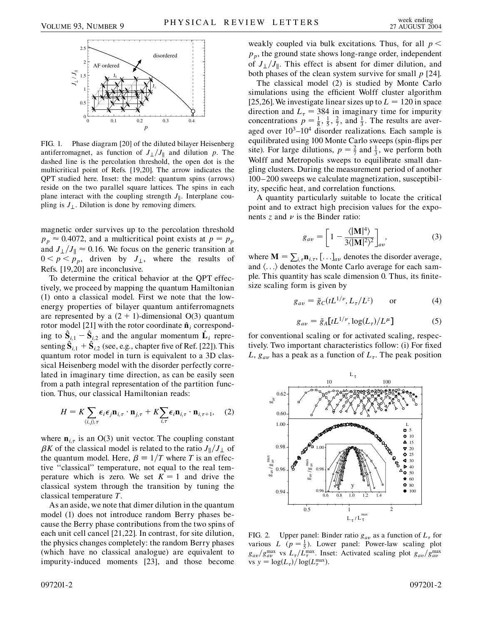

FIG. 1. Phase diagram [20] of the diluted bilayer Heisenberg antiferromagnet, as function of  $J_{\perp}/J_{\parallel}$  and dilution *p*. The dashed line is the percolation threshold, the open dot is the multicritical point of Refs. [19,20]. The arrow indicates the QPT studied here. Inset: the model: quantum spins (arrows) reside on the two parallel square lattices. The spins in each plane interact with the coupling strength  $J_{\parallel}$ . Interplane coupling is  $J_{\perp}$ . Dilution is done by removing dimers.

magnetic order survives up to the percolation threshold  $p_p \approx 0.4072$ , and a multicritical point exists at  $p = p_p$ and  $J_{\perp}/J_{\parallel} \approx 0.16$ . We focus on the generic transition at  $0 < p < p_p$ , driven by  $J_{\perp}$ , where the results of Refs. [19,20] are inconclusive.

To determine the critical behavior at the QPT effectively, we proceed by mapping the quantum Hamiltonian (1) onto a classical model. First we note that the lowenergy properties of bilayer quantum antiferromagnets are represented by a  $(2 + 1)$ -dimensional O(3) quantum rotor model [21] with the rotor coordinate  $\hat{\mathbf{n}}_i$  corresponding to  $\hat{\mathbf{S}}_{i,1} - \hat{\mathbf{S}}_{i,2}$  and the angular momentum  $\hat{\mathbf{L}}_i$  representing  $\hat{\mathbf{S}}_{i,1} + \hat{\mathbf{S}}_{i,2}$  (see, e.g., chapter five of Ref. [22]). This quantum rotor model in turn is equivalent to a 3D classical Heisenberg model with the disorder perfectly correlated in imaginary time direction, as can be easily seen from a path integral representation of the partition function. Thus, our classical Hamiltonian reads:

$$
H = K \sum_{\langle i,j\rangle,\tau} \epsilon_i \epsilon_j \mathbf{n}_{i,\tau} \cdot \mathbf{n}_{j,\tau} + K \sum_{i,\tau} \epsilon_i \mathbf{n}_{i,\tau} \cdot \mathbf{n}_{i,\tau+1}, \quad (2)
$$

where  $\mathbf{n}_{i,\tau}$  is an O(3) unit vector. The coupling constant  $\beta K$  of the classical model is related to the ratio  $J_{\parallel}/J_{\perp}$  of the quantum model. Here,  $\beta = 1/T$  where *T* is an effective ''classical'' temperature, not equal to the real temperature which is zero. We set  $K = 1$  and drive the classical system through the transition by tuning the classical temperature *T*.

As an aside, we note that dimer dilution in the quantum model (1) does not introduce random Berry phases because the Berry phase contributions from the two spins of each unit cell cancel [21,22]. In contrast, for site dilution, the physics changes completely: the random Berry phases (which have no classical analogue) are equivalent to impurity-induced moments [23], and those become weakly coupled via bulk excitations. Thus, for all *p <*  $p_p$ , the ground state shows long-range order, independent of  $J_{\perp}/J_{\parallel}$ . This effect is absent for dimer dilution, and both phases of the clean system survive for small *p* [24].

The classical model (2) is studied by Monte Carlo simulations using the efficient Wolff cluster algorithm [25,26]. We investigate linear sizes up to  $L = 120$  in space direction and  $L<sub>\tau</sub> = 384$  in imaginary time for impurity concentrations  $p = \frac{1}{8}, \frac{1}{5}, \frac{2}{7}$ , and  $\frac{1}{3}$ . The results are averaged over  $10^3$ – $10^4$  disorder realizations. Each sample is equilibrated using 100 Monte Carlo sweeps (spin-flips per site). For large dilutions,  $p = \frac{2}{7}$  and  $\frac{1}{3}$ , we perform both Wolff and Metropolis sweeps to equilibrate small dangling clusters. During the measurement period of another 100–200 sweeps we calculate magnetization, susceptibility, specific heat, and correlation functions.

A quantity particularly suitable to locate the critical point and to extract high precision values for the exponents  $z$  and  $\nu$  is the Binder ratio:

$$
g_{av} = \left[1 - \frac{\langle |\mathbf{M}|^4 \rangle}{3\langle |\mathbf{M}|^2 \rangle^2} \right]_{av}, \tag{3}
$$

where  $\mathbf{M} = \sum_{i,\tau} \mathbf{n}_{i,\tau}$ , [...]<sub>*av*</sub> denotes the disorder average, and  $\langle \ldots \rangle$  denotes the Monte Carlo average for each sample. This quantity has scale dimension 0. Thus, its finitesize scaling form is given by

$$
g_{av} = \tilde{g}_C(tL^{1/\nu}, L_\tau/L^z) \qquad \text{or} \tag{4}
$$

$$
g_{av} = \tilde{g}_A[tL^{1/\nu}, \log(L_\tau)/L^\mu]
$$
 (5)

for conventional scaling or for activated scaling, respectively. Two important characteristics follow: (i) For fixed *L*,  $g_{av}$  has a peak as a function of  $L_{\tau}$ . The peak position



FIG. 2. Upper panel: Binder ratio  $g_{av}$  as a function of  $L_{\tau}$  for various *L* ( $p = \frac{1}{5}$ ). Lower panel: Power-law scaling plot  $g_{av}/g_{av}^{\text{max}}$  vs  $L_{\tau}/L_{\tau}^{\text{max}}$ . Inset: Activated scaling plot  $g_{av}/g_{av}^{\text{max}}$ vs  $y = \log(L_\tau) / \log(L_\tau^{\max})$ .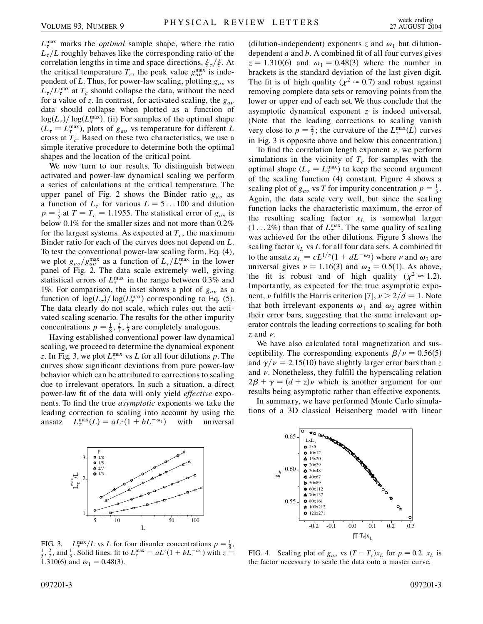$L_{\tau}^{\max}$  marks the *optimal* sample shape, where the ratio  $L<sub>\tau</sub>/L$  roughly behaves like the corresponding ratio of the correlation lengths in time and space directions,  $\zeta_{\tau}/\zeta$ . At the critical temperature  $T_c$ , the peak value  $g_{av}^{\text{max}}$  is independent of *L*. Thus, for power-law scaling, plotting *gav* vs  $L_{\tau}/L_{\tau}^{\max}$  at  $T_c$  should collapse the data, without the need for a value of *z*. In contrast, for activated scaling, the *gav* data should collapse when plotted as a function of  $\log(L_{\tau})/\log(L_{\tau}^{\max})$ . (ii) For samples of the optimal shape  $(L_{\tau} = L_{\tau}^{\text{max}})$ , plots of  $g_{av}$  vs temperature for different *L* cross at  $T_c$ . Based on these two characteristics, we use a simple iterative procedure to determine both the optimal shapes and the location of the critical point.

We now turn to our results. To distinguish between activated and power-law dynamical scaling we perform a series of calculations at the critical temperature. The upper panel of Fig. 2 shows the Binder ratio *gav* as a function of  $L_{\tau}$  for various  $L = 5...100$  and dilution  $p = \frac{1}{5}$  at  $T = T_c = 1.1955$ . The statistical error of  $g_{av}$  is below 0.1% for the smaller sizes and not more than 0.2% for the largest systems. As expected at  $T_c$ , the maximum Binder ratio for each of the curves does not depend on *L*. To test the conventional power-law scaling form, Eq. (4), we plot  $g_{av}/g_{av}^{\text{max}}$  as a function of  $L_{\tau}/L_{\tau}^{\text{max}}$  in the lower panel of Fig. 2. The data scale extremely well, giving statistical errors of  $L_{\tau}^{\max}$  in the range between 0.3% and 1%. For comparison, the inset shows a plot of *gav* as a function of  $\log(L_\tau)/\log(L_\tau^{\text{max}})$  corresponding to Eq. (5). The data clearly do not scale, which rules out the activated scaling scenario. The results for the other impurity concentrations  $p = \frac{1}{8}, \frac{2}{7}, \frac{1}{3}$  are completely analogous.

Having established conventional power-law dynamical scaling, we proceed to determine the dynamical exponent *z*. In Fig. 3, we plot  $L_{\tau}^{\max}$  vs *L* for all four dilutions *p*. The curves show significant deviations from pure power-law behavior which can be attributed to corrections to scaling due to irrelevant operators. In such a situation, a direct power-law fit of the data will only yield *effective* exponents. To find the true *asymptotic* exponents we take the leading correction to scaling into account by using the ansatz  $L_{\tau}^{\max}(L) = aL^{z}(1 + bL^{-\omega_1})$  with universal

(dilution-independent) exponents *z* and  $\omega_1$  but dilutiondependent *a* and *b*. A combined fit of all four curves gives  $z = 1.310(6)$  and  $\omega_1 = 0.48(3)$  where the number in brackets is the standard deviation of the last given digit. The fit is of high quality ( $\chi^2 \approx 0.7$ ) and robust against removing complete data sets or removing points from the lower or upper end of each set. We thus conclude that the asymptotic dynamical exponent *z* is indeed universal. (Note that the leading corrections to scaling vanish very close to  $p = \frac{2}{7}$ ; the curvature of the  $L_{\tau}^{\max}(L)$  curves in Fig. 3 is opposite above and below this concentration.)

To find the correlation length exponent  $\nu$ , we perform simulations in the vicinity of  $T_c$  for samples with the optimal shape  $(L_{\tau} = L_{\tau}^{\max})$  to keep the second argument of the scaling function (4) constant. Figure 4 shows a scaling plot of  $g_{av}$  vs *T* for impurity concentration  $p = \frac{1}{5}$ . Again, the data scale very well, but since the scaling function lacks the characteristic maximum, the error of the resulting scaling factor  $x_L$  is somewhat larger  $(1...2\%)$  than that of  $L_{\tau}^{\max}$ . The same quality of scaling was achieved for the other dilutions. Figure 5 shows the scaling factor  $x_L$  vs  $L$  for all four data sets. A combined fit to the ansatz  $x_L = cL^{1/\nu}(1 + dL^{-\omega_2})$  where  $\nu$  and  $\omega_2$  are universal gives  $\nu = 1.16(3)$  and  $\omega_2 = 0.5(1)$ . As above, the fit is robust and of high quality ( $\chi^2 \approx 1.2$ ). Importantly, as expected for the true asymptotic exponent, *v* fulfills the Harris criterion [7],  $\nu > 2/d = 1$ . Note that both irrelevant exponents  $\omega_1$  and  $\omega_2$  agree within their error bars, suggesting that the same irrelevant operator controls the leading corrections to scaling for both  $\zeta$  and  $\nu$ .

We have also calculated total magnetization and susceptibility. The corresponding exponents  $\beta/\nu = 0.56(5)$ and  $\gamma/\nu = 2.15(10)$  have slightly larger error bars than *z* and  $\nu$ . Nonetheless, they fulfill the hyperscaling relation  $2\beta + \gamma = (d + z)\nu$  which is another argument for our results being asymptotic rather than effective exponents.

In summary, we have performed Monte Carlo simulations of a 3D classical Heisenberg model with linear



FIG. 3.  $L_{\tau}^{\max}/L$  vs *L* for four disorder concentrations  $p = \frac{1}{8}$ ,<br>  $\frac{1}{2}$  and  $\frac{1}{2}$  Solid lines; fit to  $L^{\max} = aL^2(1 + bL^{-\omega_1})$  with  $z =$  $\frac{1}{5}$ ,  $\frac{2}{7}$ , and  $\frac{1}{3}$ . Solid lines: fit to  $L_{\tau}^{\max} = aL^{z}(1 + bL^{-\omega_1})$  with  $z =$ 1.310(6) and  $\omega_1 = 0.48(3)$ .



FIG. 4. Scaling plot of  $g_{av}$  vs  $(T - T_c)x_L$  for  $p = 0.2$ .  $x_L$  is the factor necessary to scale the data onto a master curve.